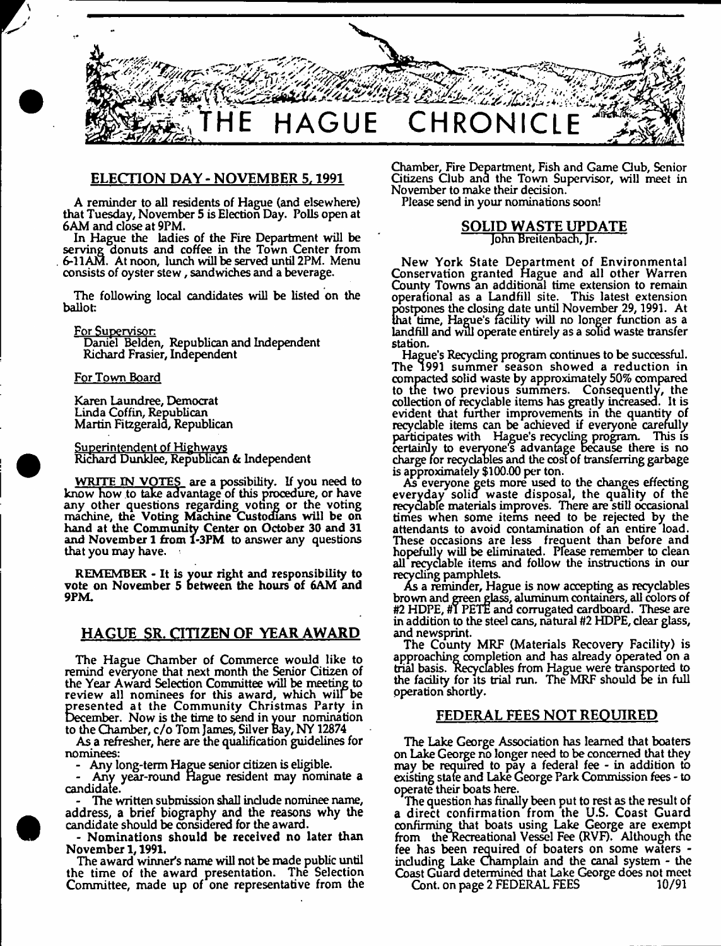

## **ELECTION DAY - NOVEMBER 5,1991**

A reminder to all residents of Hague (and elsewhere) that Tuesday, November 5 is Election Day. Polls open at 6AM and dose at 9PM.

In Hague the ladies of the Fire Department will be serving donuts and coffee in the Town Center from 6-11AM. At noon, lunch will be served until 2PM. Menu consists of oyster stew , sandwiches and a beverage.

The following local candidates will be listed on the ballot:

For Supervisor

Daniel Belden, Republican and Independent Richard Frasier, Independent

#### For Town Board

Karen Laundree, Democrat Linda Coffin, Republican Martin Fitzgerald, Republican

Superintendent of Highways Richard Dunklee, Republican & Independent

WRITE IN VOTES are a possibility. If you need to know how to take advantage of this procedure, or have any other questions regarding voting or the voting machine, the Voting Machine Custodians will be on hand at the Community Center on October 30 and 31 and November 1 from 1-3PM to answer any questions that you may have.

REMEMBER - It is your right and responsibility to vote on November 5 Between the hours of 6AM and 9PM.

# **HAGUE SR. CITIZEN OF YEAR AWARD**

The Hague Chamber of Commerce would like to remind everyone that next month the Senior Citizen of the Year Award Selection Committee will be meeting to review all nominees for this award, which will be presented at the Community Christmas Party in December. Now is the time to send in your nomination to the Chamber, c/o Tom James, Silver Bay, NY 12874

As a refresher, here are the qualification guidelines for nominees:

- Any long-term Hague senior citizen is eligible.

- Any year-round Hague resident may nominate a candidate.

The written submission shall include nominee name, address, a brief biography and the reasons why the candidate should be considered for the award.

Nominations should be received no later than November 1,1991.

The award winner's name will not be made public until the time of the award presentation. The Selection Committee, made up of one representative from the Chamber, Fire Department, Fish and Game Gub, Senior Citizens Club and the Town Supervisor, will meet in November to make their decision.

Please send in your nominations soon!

#### **SOLID WASTE UPDATE** John Breitenbach, Jr.

New York State Department of Environmental Conservation granted Hague and all other Warren County Towns an additional time extension to remain operational as a Landfill site. This latest extension postpones the dosing date until November 29,1991. At that time, Hague's facility will no longer function as a landfill and will operate entirely as a solid waste transfer station.

Hague's Recycling program continues to be successful. The 1991 summer season showed a reduction in compacted solid waste by approximately 50% compared to tne two previous summers. Consequently, the collection of recydable items has greatly increased. It is evident that further improvements in the quantity of recydable items can be achieved if everyone carefully partidpates with Hague's recycling program. This is certainly to everyone s advantage because there is no charge for recydables and the cost of transferring garbage is approximately \$100.00 per ton.

As everyone gets more used to the changes effecting everyday solid waste disposal, the quality of the recydable materials improves. There are still occasional times when some items need to be rejected by the attendants to avoid contamination of an entire load. These occasions are less frequent than before and hopefully will be eliminated. Please remember to clean all recyclable items and follow the instructions in our recycling pamphlets.

As a reminder, Hague is now accepting as recydables brown and green glass, aluminum containers, all colors of #2 HDPE, #1 PETE and corrugated cardboard. These are in addition to the steel cans, natural #2 HDPE, dear glass, and newsprint.

The County MRF (Materials Recovery Facility) is approaching completion and has already operated on a trial basis. Recydables from Hague were transported to the facility for its trial run. The MRF should be in full operation shortly.

## **FEDERAL FEES NOT REQUIRED**

The Lake George Association has learned that boaters on Lake George no longer need to be concerned that they may be required to pay a federal fee - in addition to existing state and Lake George Park Commission fees - to operate their boats here.

The question has finally been put to rest as the result of a direct confirmation from the U.S. Coast Guard confirming that boats using Lake George are exempt from the Recreational Vessel Fee (RVF). Although the fee has been required of boaters on some waters including Lake Champlain and the canal system - the Coast Guard determined that Lake George does not meet Cont. on page 2 FEDERAL FEES 10/91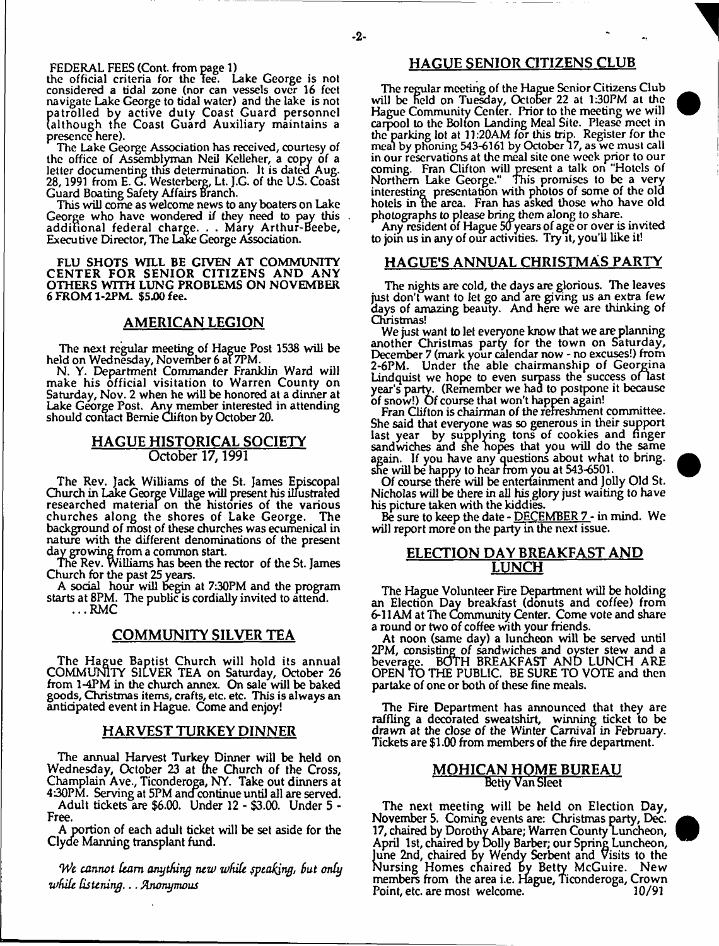FEDERAL FEES (Cont. from page 1)

the official criteria for the Tee. Lake George is not considered a tidal zone (nor can vessels over 16 feet navigate Lake George to tidal water) and the lake is not patrolled by active duty Coast Guard personnel<br>|although the Coast Guard Auxiliary maintains a<br>presence.here).<br>| The Lake George Association has received.courtesy.of although the Coast Guard Auxiliary maintains a presence here).

The Lake George Association has received, courtesy of the office of Assemblyman Neil Kelleher, a copy of a letter documenting this determination. It is dated Aug. 28,1991 from E. CL Westerberg, Lt. J.G. of the U.S. Coast Guard Boating Safety Affairs Branch.

This will come as welcome news to any boaters on Lake George who have wondered if they need to pay this additional federal charge. . . Mary Arthur-Heebe, Executive Director, The Lake George Association.

FLU SHOTS WILL BE GIVEN AT COMMUNITY CENTER FOR SENIOR CITIZENS AND ANY OTHERS WITH LUNG PROBLEMS ON NOVEMBER 6 FROM 1-2PM. \$5.00 fee.

#### **AMERICAN LEGION**

The next regular meeting of Hague Post 1538 will be held on Wednesday, November 6 at 7PM.

N. Y. Department Commander Franklin Ward will make his official visitation to Warren County on Saturday, Nov. 2 when he will be honored at a dinner at Lake George Post. Any member interested in attending should contact Bemie Clifton by October 20.

## **HAGUE HISTORICAL SOCIETY October 17,1991**

The Rev. Jack Williams of the St. James Episcopal Church in Lake George Village will present his illustrated researched material on the histories of the various churches along the shores of Lake George. The background of most of these churches was ecumenical in nature with the different denominations of the present day growing from a common start.

The Rev. Williams has been the rector of the St, James Church for the past 25 years.

A social hour will begin at 7:30PM and the program starts at 8PM. The public is cordially invited to attend.

 $\ldots$  RMC

## **COMMUNITY SILVER TEA**

The Hague Baptist Church will hold its annual COMMUNITY SILVER TEA on Saturday, October 26 from 1-4PM in the church annex. On sale will be baked goods, Christmas items, crafts, etc. etc. This is always an anticipated event in Hague. Come and enjoy!

#### **HARVEST TURKEY PINNER**

The annual Harvest Turkey Dinner will be held on Wednesday, October 23 at the Church of the Cross, Champlain Ave., Ticonderoga, NY. Take out dinners at 4:30PM. Serving at 5PM and continue until all are served.

Adult tickets are \$6.00. Under 12 - \$3.00. Under 5 - Free.

A portion of each adult ticket will be set aside for the Clyde Manning transplant fund.

*'We cannot kam anything new while fptakjng, But only while listening***. ..** *Anonymous*

## **HAGUE SENIOR CITIZENS CLUB**

The regular meeting of the Hague Senior Citizens Club will be held on Tuesday, October 22 at 130PM at the Hague Community Center. Prior to the meeting we will carpool to the Bolton Landing Meal Site. Please meet in the parking lot at 11:20AM for this trip. Register for the meal by phoning 543-6161 by October 17, as we must call in our reservations at the meal site one week prior to our coming. Fran Clifton will present a talk on "Hotels of Northern Lake George." This promises to be a very interesting presentation with photos of some of the old hotels in the area. Fran has asked those who have old photographs to please bring them along to share.

Any resident of Hague 50 years of age or over is invited to join us in any of our activities. Try it, you'll like it!

## **HAGUE'S ANNUAL CHRISTMAS PARTY**

The nights are cold, the days are glorious. The leaves just don't want to let go and are giving us an extra few days of amazing beauty. And here we *are* thinking of Christinas!

We just want to let everyone know that we are planning another Christmas party for the town on Saturday, December 7 (mark your calendar now - no excuses!) from 2-6PM. Under the able chairmanship of Georgina Lindquist we hope to even surpass the success of last year's party. (Remember we had to postpone it because of snow!) Of course that won't happen again!

Fran Clifton is chairman of the refreshment committee. She said that everyone was so generous in their support last year by supplying tons of cookies and finger sandwiches and she hopes that you will do the same again. If you have any questions about what to bring, she will be happy to hear from you at 543-6501.

Of course there will be entertainment and Jolly Old St. Nicholas will be there in all his glory just waiting to have his picture taken with the kiddies.

Be sure to keep the date - DECEMBER 7 - in mind. We will report more on the party in the next issue.

## **ELECTION DAY BREAKFAST AND LUNCH**

The Hague Volunteer Fire Department will be holding an Election Day breakfast (donuts and coffee) from 6\*11 AM at The Community Center. Come vote and share a round or two of coffee with your friends.

At noon (same day) a luncheon will be served until 2PM, consisting *of* sandwiches and oyster stew and a beverage. BOTH BREAKFAST AND LUNCH ARE OPEN TO THE PUBLIC. BE SURE TO VOTE and then partake of one or both of these fine meals.

The Fire Department has announced that they are raffling a decorated sweatshirt, winning ticket to be drawn at the close *of* the Winter Carnival in February. Tickets are \$1.00 from members of the fire department.

#### **MOHICAN HOME BUREAU** Betty Van Sleet

The next meeting will be held on Election Day, November 5. Coming events are: Christmas party, Dec. 17, chaired by Dorothy Abare; Warren County Luncheon, April 1st, chaired by Dolly Barber; our Spring Luncheon, lune 2nd, chaired by Wendy Serbent and Visits to the N ursing Homes cnaired *by* Betty McGuire. New members from the area i.e. Hague, Ticonderoga, Crown Point, etc. are most welcome.



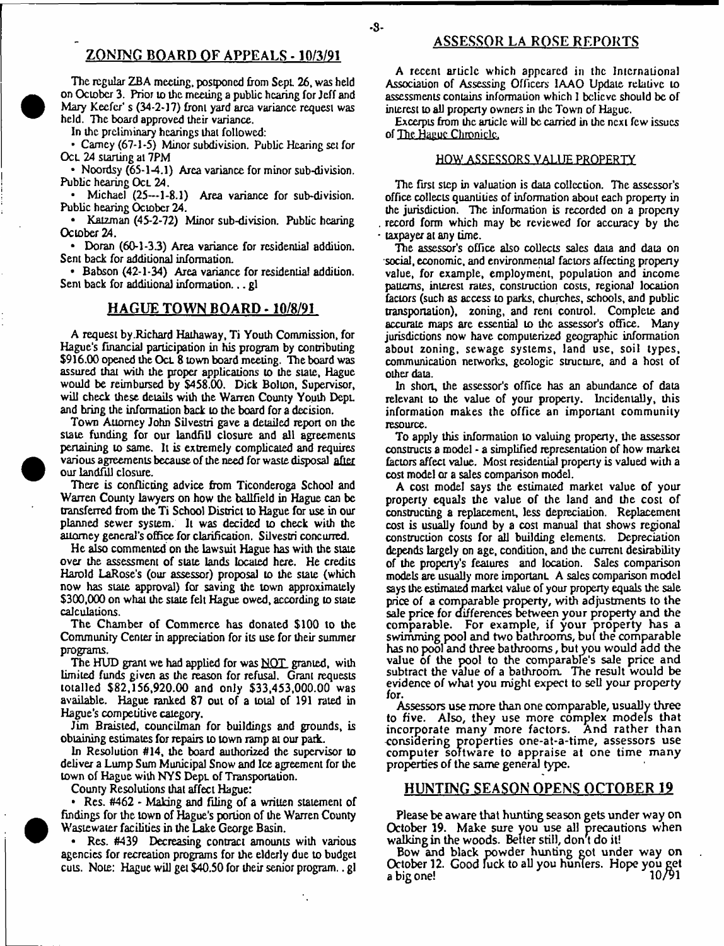## ZONING BOARD OF APPEALS - 10/3/91

The regular ZBA meeting, postponed from Sept. 26, was held on October 3. Prior to the meeting a public hearing for Jeff and Mary Keefer's (34-2-17) front yard area variance request was held. The board approved their variance.

In the preliminary hearings that followed:

• Carney (67-1-5) Minor subdivision. Public Hearing set for OcL 24 starling at 7PM

• Noordsy (65-1-4.1) Area variance for minor sub-division. Public hearing Ocl 24.

Michael (25—1-8.1) Area variance for sub-division. Public hearing October 24.

• Katzman (45-2-72) Minor sub-division. Public hearing October 24.

• Doran (60-1-3.3) Area variance for residential addition. Sent back for additional information.

• Bahson (42-1-34) Area variance for residential addition. Sent back for additional information... gl

## **HAGUE TOWN BOARD -10/8/91**

A request by .Richard Hathaway, Ti Youth Commission, for Hague's financial participation in his program by contributing \$916.00 opened the Oct. 8 town board meeting. The board was assured that with the proper applications to the stale, Hague would be reimbursed by \$458.00. Dick Bolton, Supervisor, will check these details with the Warren County Youth Dept. and bring the information back to the board for a decision.

Town Attorney John Silvestri gave a detailed report on the state funding for our landfill closure and all agreements pertaining to same. It is extremely complicated and requires various agreements because of the need for waste disposal after our landfill closure.

There is conflicting advice from Ticonderoga School and Warren County lawyers on how the ballfield in Hague can be transferred from the Ti School District to Hague for use in our planned sewer system. It was decided to cheek with the attorney general's office for clarification. Silvestri concurred.

He also commented on the lawsuit Hague has with the state over the assessment of slate lands located here. He credits Harold LaRose's (our assessor) proposal to the state (which now has state approval) for saving the town approximately \$300,000 on what the state felt Hague owed, according to state calculations.

The Chamber of Commerce has donated \$100 to the Community Center in appreciation for its use for their summer programs.

The HUD grant we had applied for was NOT granted, with limited funds given as the reason for refusal. Grant requests totalled \$82,156,920.00 and only \$33,453,000.00 was available. Hague ranked 87 out of a total of 191 rated in Hague's competitive category.

Jim Braisted, councilman for buildings and grounds, is obtaining estimates for repairs to town ramp at our park.

In Resolution #14, the board authorized the supervisor to deliver a Lump Sum Municipal Snow and Ice agreement for the town of Hague with NYS DepL of Transportation.

County Resolutions that affect Hague:

• Res. #462 - Making and filing of a written statement of findings for the town of Hague's portion of the Wanen County Wastewater facilities in the Lake George Basin.

• Res. #439 Decreasing contract amounts with various agencies for recreation programs for the elderly due to budget cuts. Note: Hague will get \$40.50 for their senior program.. gl

۰.

## ASSESSOR LA ROSE REPORTS

A recent article which appeared in the International Association of Assessing Officers 1AAO Update relative to assessments contains information which 1 believe should be of interest to all property owners in the Town of Hague.

Excerpts from the article will be carried in the next few issues of The Hague Chronicle.

#### HOW ASSESSORS VALUE PROPERTY

The first step in valuation is daia collection. The assessor's office collects quantities of information about each property in the jurisdiction. The information is recorded on a property record form which may be reviewed for accuracy by the taxpayer at any time.

The assessor's office also collects sales data and data on social, economic, and environmental factors affecting property value, for example, employment, population and income patterns, interest rates, construction costs, regional location factors (such as access Lo parks, churches, schools, and public transportation), zoning, and rent control. Complete and accurate maps are essential lo the assessor's office. Many jurisdictions now have computerized geographic information about zoning, sewage systems, land use, soil types, communication networks, geologic structure, and a host of other data.

In short, the assessor's office has an abundance of data relevant to the value of your property. Incidentally, this information makes the office an important community resource.

To apply this information to valuing property, the assessor constructs a model - a simplified representation of how market factors affect value. Most residential property is valued with a cost model or a sales comparison model.

A cost model says the estimated market value of your property equals the value of the land and Lhe cost of constructing a replacement, less depreciation. Replacement cost is usually found by a cost manual that shows regional construction costs for all building elements. Depreciation depends largely on age, condition, and the current desirability of the property's features and location. Sales comparison models are usually more importanL A sales comparison model says the estimated market value of your property equals the sale price of a comparable property, with adjustments to the sale price for differences between your property and the comparable. For example, if your property has a swimming pool and two bathrooms, but the comparable has no pool and three bathrooms, but you would add the value of the pool to the comparable's sale price and subtract the value of a bathroom. The result would be evidence of what you might expect to sell your property for.

Assessors use more than one comparable, usually three to five. Also, they use more complex models that incorporate many more factors. And rather than considering properties one-at-a-time, assessors use computer software to appraise at one time many properties of the same general type.

## HUNTING SEASON OPENS OCTOBER 19

Please be aware that hunting season gets under way on October 19. Make sure you use all precautions when walking in the woods. Better still, don't do it!

Bow and black powder hunting got under way on October 12. Good fuck to all you hunters. Hope you get a big one! 10/91

-**8**-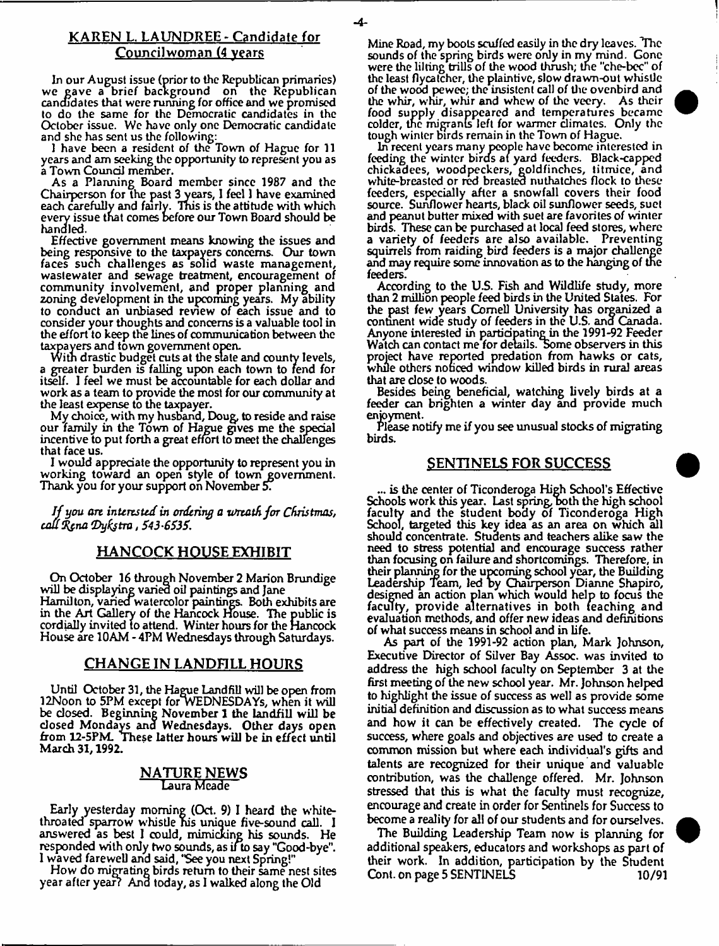## **KAREN L. LAUNPREE - Candidate for Council worn an (4 years**

In our August issue (prior to the Republican primaries) we gave a brief background on the Republican candidates that were running for office and we promised to do the same for the Democratic candidates in the October issue. We have only one Democratic candidate and she has sent us the following:

1 have been a resident of the Town of Hague for 11 years and am seeking the opportunity to represent you as a Town Council member.

As a Planning Board member since 1987 and the Chairperson for the past 3years, I feel 1 have examined each carefully and fairly. This is the attitude with which every issue that comes before our Town Board should be handled.

Effective government means knowing the issues and being responsive to the taxpayers concerns. Our town faces such challenges as solid waste management, wastewater and sewage treatment, encouragement of community involvement, and proper planning and zoning development in the upcoming years. My ability to conduct an unbiased review of each issue and to consider your thoughts and concerns is a valuable tool in the effort to keep the lines of communication between the taxpayers and town government open.

With drastic budget cuts at the state and county levels, a greater burden is falling upon each town to fend for itself. I feel we must be accountable for each dollar and work as a team to provide the most for our community at the least expense to the taxpayer.

My choice, with my husband, Doug, to reside and raise our family in the Town of Hague gives me the special incentive to put forth a great effort to meet the challenges that face us.

I would appreciate the opportunity to represent you in working toward an open style of town government. Thank you for your support on November *5.*

*I f you art interested in ordering a Wreath for Christmas, cafti&na (Dyhjtro, 543-6535.*

## **HANCOCK HOUSE EXHIBIT**

On October 16 through November 2 Marion Brundige will be displaying varied oil paintings and Jane Hamilton, varied watercolor paintings. Both exhibits are in the Art Gallery of the Hancock House. The public is cordially invited to attend. Winter hours for the Hancock House are 10AM - 4PM Wednesdays through Saturdays.

## **CHANGE IN LANDFILL HOURS**

Until October 31, the Hague Landfill will be open from 12Noon to 5PM except for WEDNESDAYS, when it will be closed. Beginning November 1 the landfill will be dosed Mondays ana Wednesdays. Other days open from 12-5PM. These latter hours will be in effect until March 31,1992.

## **NATURE NEWS** Laura Meade

Early yesterday morning (Oct. 9) I heard the whitethroated sparrow whistle his unique five-sound call. 1 answered as best I could, mimicking his sounds. He responded with only two sounds, as ifto say "Good-bye". 1 waved farewell and said, 'See you next Spring!"

How do migrating birds return to their same nest sites year after year? And today, as I walked along the Old

Mine Road, my bools scuffed easily in the dry leaves. The sounds of the spring birds were only in my mind. Gone were the lilting trills of the wood thrush; the "che-bcc" of the least flycatcher, the plaintive, slow drawn-out whistle of the wood pewee; the insistent call of the ovenbird and the whir, whir, whir and whew of the vecry. As their food supply disappeared and temperatures became colder, tne migrants left for warmer dimates. Only the tough winter birds remain in the Town of Hague.

In recent years many people have become interested in feeding the winter birds at yard feeders. Black-capped chickadees, woodpeckers, goldfinches, titmice, and white-breasted or red breasted nuthatches flock to these feeders, especially after a snowfall covers their food source. Sunflower hearts, black oil sunflower seeds, suet and peanut butter mixed with suet are favorites of winter birds. These can be purchased at local feed stores, where a variety of feeders are also available. Preventing squirrels from raiding bird feeders is a major challenge and may require some innovation as to the hanging of the feeders.

According to the U.S. Fish and Wildlife study, more than 2 million people feed birds in the United States. For the past few years Cornell University has organized a continent wide study of feeders in the U.S. and Canada. Anyone interested in partiapatine in the 1991-92 Feeder Watch can contact me for details. Some observers in this project have reported predation from hawks or cats, while others noticed window killed birds in rural areas that are close to woods.

Besides being beneficial, watching lively birds at a feeder can brighten a winter day and provide much enjoyment.

Please notify me if you see unusual stocks of migrating birds.

#### **SENTINELS FOR SUCCESS**

... is the center of Ticonderoga High School's Effective Schools work this year. Last spring, both the high school faculty and the student body of Ticonderoga High School, targeted this key idea as an area on which all should concentrate. Students and teachers alike saw the need to stress potential and encourage success rather than focusing on failure and shortcomings. Therefore, in their planning for the upcoming school year, the Building Leadership Team, led by Chairperson Dianne Shapiro, designed an action plan which would help to focus the faculty, provide alternatives in both teaching and evaluation methods, and offer new ideas and definitions of what success means in school and in life.

As part of the 1991-92 action plan, Mark Johnson, Executive Director of Silver Bay Assoc, was invited to address the high school faculty on September 3 at the first meeting of the new school year. Mr. Johnson helped to highlight the issue of success as well as provide some initial definition and discussion as to what success means and how it can be effectively created. The cycle of success, where goals and objectives are used to create a common mission but where each individual's gifts and talents are recognized for their unique and valuable contribution, was the challenge offered. Mr. Johnson stressed that this is what the faculty must recognize, encourage and create in order for Sentinels for Success to become a reality for all of our students and for ourselves.

The Building Leadership Team now is planning for additional speakers, educators and workshops as part of their work. In addition, participation by the Student Cont. on page 5 SENTINELS 10/91

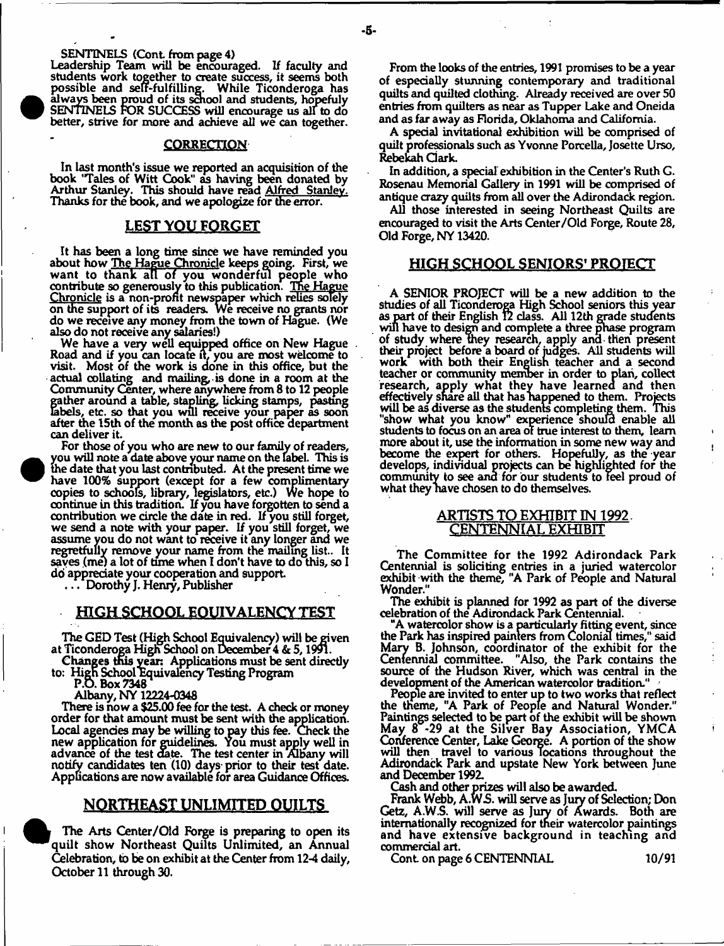SENTINELS (Cont from page 4)

**e** 

**•** 

Leadership Team will be encouraged. If faculty and students work together to create success, it seems both possible and self-fulfilling. While Ticonderoga has always been proud of its school and students, hopefuly SENTINELS FOR SUCCESS will encourage us all to do better, strive for more and achieve all we can together.

#### **CORRECTION**

In last month's issue we reported an acquisition of the book 'Tales of Witt Cook" as having been donated by Arthur Stanley. This should have read Alfred Stanley. Thanks for the book, and we apologize for the error.

#### **LEST YOU FORGET**

It has been a long time since we have reminded you about how The Hague Chronicle keeps going. First, we want to thank all of you wonderful people who contribute so generously to this publication. The Hague Chr<u>onicle</u> is a non-profit newspaper which relies solely on the support of its readers. We receive no grants nor do we receive any money from the town of Hague. (We also do not receive any salaries!)

We have a very well equipped office on New Hague Road and if you can locate it, you are most welcome to visit. Most of the work is done in this office, but the actual collating and mailing, is done in a room at the Community Center, where anywhere from 8 to 12 people gather around a table, stapling, licking stamps, pasting labels, etc. so that you wul receive your paper as soon after the 15th of the month as the post office department can deliver it.

For those of you who are new to our family of readers, you will note a date above your name on the label. This is the date that you last contributed. At the present time we have 100% support (except for a few complimentary copies to schools, library, legislators, etc.) We hope to continue in this tradition. If you have forgotten to send a contribution we circle the date in red. If you still forget, we send a note with your paper. If you still forget, we assume you do not want to receive it any longer and we regretfully remove your name from the mailing list.. It saves (me) a lot of time when I don't have to do this, so I do appreciate your cooperation and support

. . . Dorothy J. Henry, Publisher

## HIGH SCHOOL EQUIVALENCY TEST

The GED Test (High School Equivalency) will be given at Ticonderoga High School on December 4 & 5,1991.

Changes this yean Applications must be sent directly to: Hign School Equivalency Testing Program

P.O. Box 7348

Albany, NY 12224-0348

There is now a \$25.00 fee for the test. A check or money order for that amount must be sent with die application. Local agencies may be willing to pay this fee. Check the new application for guidelines. You must apply well in advance of the test date. The test center in Albany will notify candidates ten (10) days- prior to their test date. Applications are now available for area Guidance Offices.

## NORTHEAST UNLIMITED QUILTS

The Arts Center/Old Forge is preparing to open its quilt show Northeast Quilts Unlimited, an Annual Celebration, to be on exhibit at the Center from 12-4 daily, October 11 through 30.

From the looks of the entries, 1991 promises to be a year of especially stunning contemporary and traditional quilts and quilted clothing. Already received are over 50 entries from quilters as near as Tupper Lake and Oneida and as far away as Florida, Oklahoma and California.

A special invitational exhibition will be comprised of quilt professionals such as Yvonne Porcella, Josette Urso, Rebekah Clark.

In addition, a special exhibition in the Center's Ruth G. Rosenau Memorial Gallery in 1991 will be comprised of antique crazy quilts from all over the Adirondack region.

All those interested in seeing Northeast Quilts are encouraged to visit the Arts Center/Old Forge, Route 28, Old Forge, NY 13420.

#### **HIGH SCHOOL SENIORS' PROTECT**

A SENIOR PROJECT will be a new addition to the studies of all Ticonderoga High School seniors this year as part of their English 12 class. All 12th grade students will have to design and complete a three phase program of study where They research, apply ana then present their project before a board or judges. All students will work with both their English teacher and a second teacher or community member in order to plan, collect research, apply what they have learned and then effectively share all that has happened to them. Projects will be as diverse as the students completing them. This "show what you know" experience should enable all students to focus on an area of true interest to them, learn more about it, use the information in some new way and become the expert for others. Hopefully, as the year develops, individual projects can be highlighted for the community to see ana for our students to feel proud of what they have chosen to do themselves.

#### **ARTISTS TO EXHIBIT IN 1992. CENTENNIAL EXHIBIT**

The Committee for the 1992 Adirondack Park Centennial is soliciting entries in a juried watercolor exhibit with the theme, "A Park of People and Natural **Wonder."**

The exhibit is planned for 1992 as part of the diverse celebration of the Adirondack Park Centennial.

"A watercolor show is a particularly fitting event, since the Park has inspired painters from Colonial times," said Mary B. Johnson, coordinator of the exhibit for the Centennial committee. "Also, the Park contains the source of the Hudson River, which was central in the development of the American watercolor tradition."

People are invited to enter up to two works that reflect the theme, "A Park of People and Natural Wonder." Paintings selected to be part of the exhibit will be shown May 8 -29 at the Silver Bay Association, YMCA Conference Center, Lake George. A portion of the show will then travel to various locations throughout the Adirondack Park and upstate New York between June and December 1992.

Cash and other prizes will also be awarded

Frank Webb, A.WS. will serve as Jury of Selection; Don Getz, A.W.S. will serve as Jury of Awards. Both are internationally recognized for their watercolor paintings and have extensive background in teaching and commercial art.

Cont. on page 6 CENTENNIAL 10/91

Ŷ.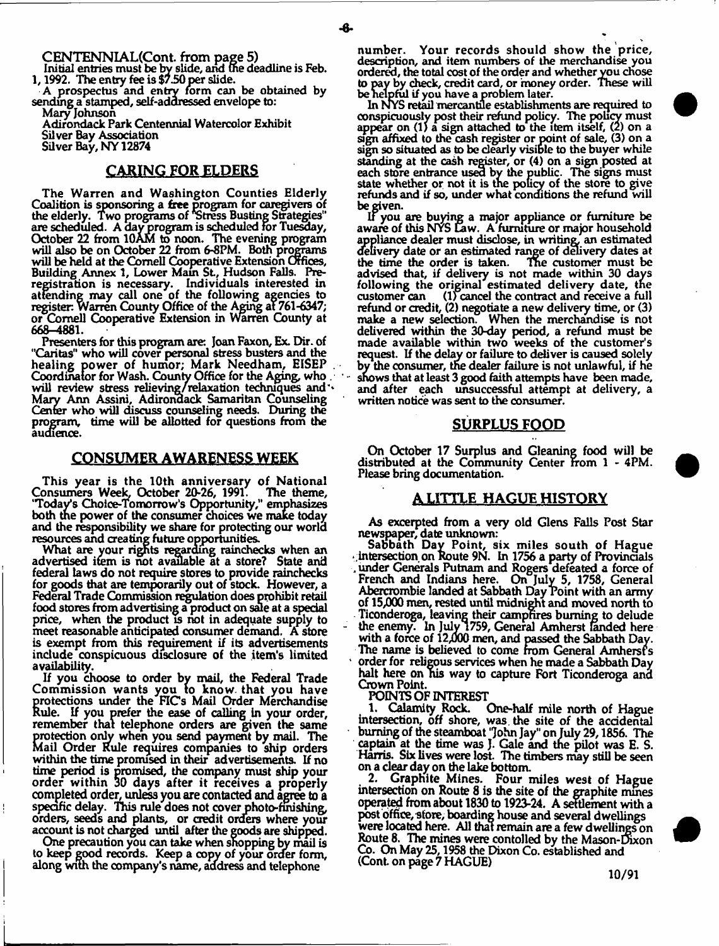**CENTENNIAL(Cont from page 5)**

Initial entries must be by slide, and the deadline is Feb. 1, 1992. The entry fee is \$7.50 per slide.

A prospectus and entry form can be obtained by sending a stamped, self-addressed envelope to:

Mary Johnson Adirondack Park Centennial Watercolor Exhibit Silver Bay Association

Silver Bay, NY 12874

## CARING FOR ELDERS

The Warren and Washington Counties Elderly Coalition is sponsoring a free program for caregivers of the elderly. Two programs of Stress Busting Strategies" are scheduled. A day program is scheduled for Tuesday, October 22 from 10AM to noon. The evening program will also be on October 22 from 6-8PM. Both programs will be held at the Cornell Cooperative Extension Offices, Building Annex 1, Lower Main St., Hudson Falls. Preregistration is necessary. Individuals interested in attending may call one of the following agencies to register. Warren County Office of the Aging at 761-6347; or Cornell Cooperative Extension in Warren County at 668-4881.

Presenters for this program are: Joan Faxon, Ex. Dir. of "Caritas" who will cover personal stress busters and the healing power of humor; Mark Needham, EISEP. Coordinator for Wash. County Office for the Aging, who . will review stress relieving/relaxation techniques and \* Mary Ann Assini, Adirondack Samaritan Counseling Center who will discuss counseling needs. During the program, time will be allotted for questions from the audience.

#### CONSUMER AWARENESS WEEK

This year is the 10th anniversary of National Consumers Week. October 20-26, 1991. The theme, 'Today's Choice-Tomorrow's Opportunity," emphasizes both the power of the consumer choices we make today and the responsibility we share for protecting our world resources and creating future opportunities.

What are your rights regarding rainchecks when an advertised item is not available at a store? State and federal laws do not require stores to provide rainchecks for goods that are temporarily out of stock. However, a Federal Trade Commission regulation does prohibit retail food stores from advertising a product on sale at a special price, when the product is not in adequate supply to meet reasonable anticipated consumer demand. A store is exempt from this requirement if its advertisements include conspicuous disclosure of the item's limited availability.

If you choose to order by mail, the Federal Trade Commission wants you to know that you have protections under the FICs Mail Order Merchandise Rule. If you prefer the ease of calling in your order, remember that telephone orders are given the same protection only when you send payment by mail. The Mail Order Rule requires companies to ship orders within the time promised in their advertisements. If no time period is promised, the company must ship your order within 30 days after it receives a properly completed order, unless you are contacted and agree to a specific delay. This rule does not cover photo-finishing, orders, seeds and plants, or credit orders where your account is not charged until after the goods are shipped.

One precaution you can take when shopping by mail is to keep good records. Keep a copy of your order form, along with the company's name, address and telephone

num ber. Your records should show the price, description, and item numbers of the merchandise you ordered, the total cost of the order and whether you chose to pay by check, credit card, or 'money order. These will be helpful if you have a problem later.

In NYS retail mercantile establishments are required to conspicuously post their refund policy. The policy must appear on (1) a sign attached to the item itself, (2) on a sign affixed to the cash register or point of sale, (3) on a sign so situated as to be dearly visible to the buyer while standing at the cash register, or (4) on a sign posted at each store entrance used by the public. The signs must state whether or not it is the policy of the store to give refunds and if so, under what conditions the refund will be given.

IF you are buying a major appliance or furniture be aware of this NYS Law. A furniture or major household appliance dealer must disdose, in writing, an estimated delivery date or an estimated range of delivery dates at the time the order is taken. Tne customer must be advised that, if delivery is not made within 30 days following the original estimated delivery date, the customer can (l) cancel the contract and receive a full refund or credit, (2) negotiate a new delivery time, or (3) make a new selection. When the merchandise is not delivered within the 30-day period, a refund must be made available within two weeks of the customer's request. If the delay or failure to deliver is caused solely by the consumer, the dealer failure is not unlawful, if he shows that at least 3 good faith attempts have been made, and after each unsuccessful attempt at delivery, a written notice was sent to the consumer.

#### **SURPLUS FOOD**

On October 17 Surplus and Gleaning food will be distributed at the Community Center from 1 - 4PM. Please bring documentation.

#### **A LITTLE HAGUE HISTORY**

As excerpted from a very old Glens Falls Post Star newspaper, date unknown:

Sabbath Day Point, six miles south of Hague • intersection on Route 9N. In 1756 a party of Provincials .under Generals Putnam and Rogers defeated a force of French and Indians here. On July 5, 1758, General Abercrombie landed at Sabbath Day Point with an army of 15,000 men, rested until midnight and moved north to Ticonderoga, leaving their campfires burning to delude - the enemy. In July 1759, General Amherst fanded here with a force of 12,000 men, and passed the Sabbath Day. The name is believed to come from General Amhersf's 1 order for religous services when he made a Sabbath Day halt here on nis way to capture Fort Ticonderoga and Crown Point.

POINTS OF INTEREST<br>1. Calamity Rock. One-half mile north of Hague intersection, off shore, was. the site of the accidental burning of the steamboat 'John Jay" on July 29,1856. The captain at the time was J. Gale and the pilot was E. S. Harris. Six lives were lost. The timbers may still be seen on a dear day on the lake bottom.

2. Graphite Mines. Four miles west of Hague intersection on Route 8 is the site of the graphite mines operated from about 1830 to 1923-24. A settlement with a post office, store, boarding house and several dwellings were located here. All that remain are a few dwellings on Route 8. The mines were contolled by the Mason-Dixon Co. On May 25,1958 the Dixon Co. established and (Cont on page 7 HAGUE)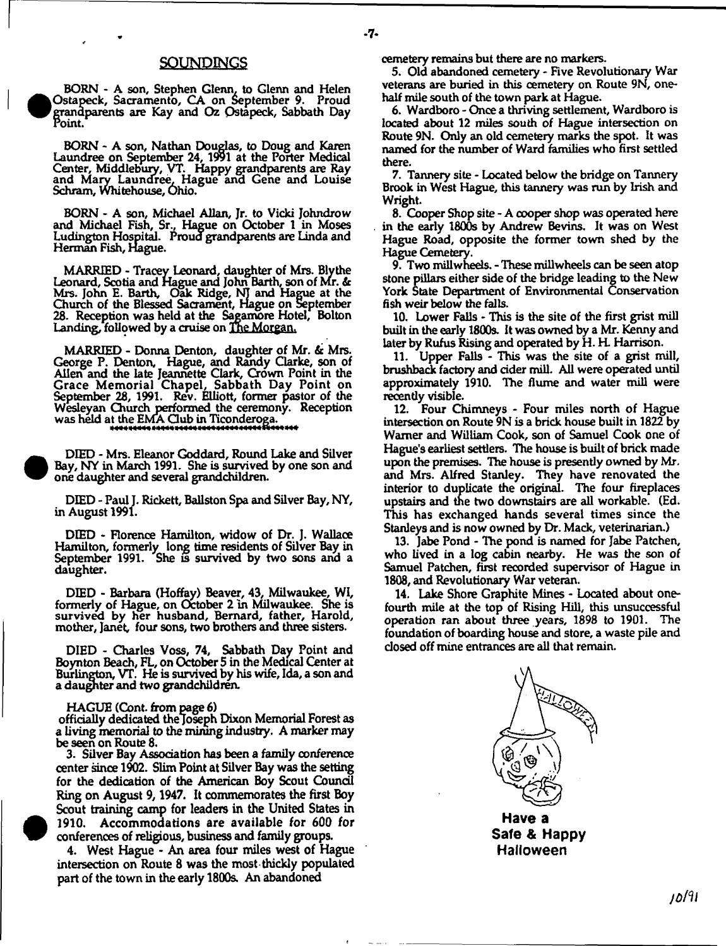#### SOUNDINGS

BORN - A son, Stephen Glenn, to Glenn and Helen Ostapeck, Sacramento, CA on September 9. Proud grandparents are Kay and Oz Ostapeck, Sabbath Day Point.

**e** 

**e** 

**1** 

BORN \* A son, Nathan Douglas, to Doug and Karen Laundree on September 24, 1991 at the Porter Medical Center, Middlebury, VT. Happy grandparents are Ray and Mary Laundree, Hague and Gene and Louise Schram, Whitehouse, Ohio.

BORN - A son, Michael Allan, Jr. to Vicki Johndrow and Michael Fish, Sr., Hague on October 1 in Moses Ludington Hospital. Proud grandparents are Linda and Herman Fish, Hague.

MARRIED - Tracey Leonard, daughter of Mrs. Blythe Leonard, Scotia and Hague and John Barth, son of Mr. *&* Mrs. John E. Barth, Oak Ridge, NT and Hague at the Church of the Blessed Sacrament, Hague on September 28. Reception was held at the Sagamore Hotel, Bolton Landing, followed by a cruise on The Morgan.

MARRIED - Donna Denton, daughter of Mr. & Mrs. George P. Denton, Hague, and Randy Clarke, son of Allen and the late Jeannette Clark, Crown Point in the Grace Memorial Chapel, Sabbath Day Point on September 28, 1991. Rev. Elliott, former pastor of the Wesleyan Church performed the ceremony. Reception was held at the EMA Club in Ticonderoga.

 DIED - Mrs. Eleanor Goddard, Round Lake and Silver Bay, NY in March 1991. She is survived by one son and one daughter and several grandchildren.

DIED - Paul J. Rickett, Ballston Spa and Silver Bay, NY, in August 1991.

DIED - Florence Hamilton, widow of Dr. ]. Wallace Hamilton, formerly long time residents of Silver Bay in September 1991. 'She is survived by two sons and a daughter.

DIED - Barbara (Hoffay) Beaver, 43, Milwaukee, WI, formerly of Hague, on October 2 in Milwaukee. She is survived by her husband, Bernard, father, Harold, mother, Janet, four sons, two brothers and three sisters.

DIED - Charles Voss, 74, Sabbath Day Point and Boynton Beach, FL, on October 5 in the Medical Center at Burlington, VT. He is survived by his wife, Ida, a son and a daughter and two grandchildren.

HAGUE (Cont. from page 6)

officially dedicated the Joseph Dixon Memorial Forest as a living memorial to the mining industry. A marker may be seen on Route 8.

3. Silver Bay Association has been a family conference center since 1902. Slim Point at Silver Bay was the setting for the dedication of the American Boy Scout Council Ring on August 9,1947. It commemorates the first Boy Scout training camp for leaders in the United States in 1910. Accommodations are available for 600 for conferences of religious, business and family groups.

4. West Hague - An area four miles west of Hague intersection on Route 8 was the most thickly populated part of the town in the early 1800s. An abandoned

cemetery remains but there are no markers.

5. Old abandoned cemetery - Five Revolutionary War veterans are buried in this cemetery on Route 9N, onehalf mile south of the town park at Hague.

6. Wardboro - Once a thriving settlement, Wardboro is located about 12 miles south of Hague intersection on Route 9N. Only an old cemetery marks the spot. It was named for the number of Ward families who first settled there.

7. Tannery site - Located below the bridge on Tannery Brook in West Hague, this tannery was run by Irish and Wright.

8. Cooper Shop site - A cooper shop was operated here in the early 1800s by Andrew Bevins. It was on West Hague Road, opposite the former town shed by the Hague Cemetery.

9. Two millwheels. - These millwheels can be seen atop stone pillars either side of the bridge leading to the New York State Department of Environmental Conservation fish weir below the falls.

10. Lower Falls - This is the site of the first grist mill built in the early 1800s. It was owned by a Mr. Kenny and later by Rufus Rising and operated by H. H. Harrison.

11. Upper Falls - This was the site of a grist mill, brushback factory and cider mill. All were operated until approximately 1910. The flume and water mill were recently visible.

12. Four Chimneys - Four miles north of Hague intersection on Route 9N is a brick house built in 1822 by Warner and William Cook, son of Samuel Cook one of Hague's earliest settlers. The house is built of brick made upon the premises. The house is presently owned by Mr. and Mrs. Alfred Stanley. They have renovated the interior to duplicate the original. The four fireplaces upstairs and the two downstairs are all workable. (Ed. This has exchanged hands several times since the Stanleys and is now owned by Dr. Mack, veterinarian.)

13. Jabe Pond - The pond is named for Jabe Patchen, who lived in a log cabin nearby. He was the son of Samuel Patchen, first recorded supervisor of Hague in 1808, and Revolutionary War veteran.

14. Lake Shore Graphite Mines - Located about onefourth mile at the top of Rising Hill, this unsuccessful operation ran about three years, 1898 to 1901. The foundation of boarding house and store, a waste pile and dosed off mine entrances are all that remain.